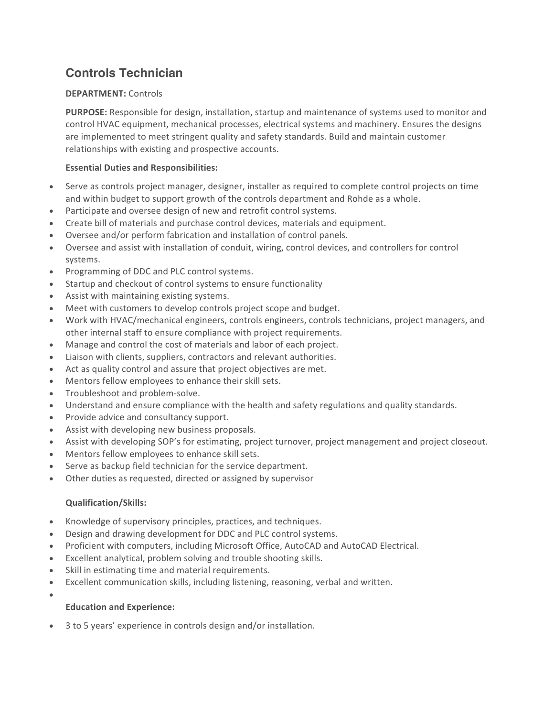# **Controls Technician**

## **DEPARTMENT:** Controls

**PURPOSE:** Responsible for design, installation, startup and maintenance of systems used to monitor and control HVAC equipment, mechanical processes, electrical systems and machinery. Ensures the designs are implemented to meet stringent quality and safety standards. Build and maintain customer relationships with existing and prospective accounts.

## **Essential Duties and Responsibilities:**

- Serve as controls project manager, designer, installer as required to complete control projects on time and within budget to support growth of the controls department and Rohde as a whole.
- Participate and oversee design of new and retrofit control systems.
- Create bill of materials and purchase control devices, materials and equipment.
- Oversee and/or perform fabrication and installation of control panels.
- Oversee and assist with installation of conduit, wiring, control devices, and controllers for control systems.
- Programming of DDC and PLC control systems.
- Startup and checkout of control systems to ensure functionality
- Assist with maintaining existing systems.
- Meet with customers to develop controls project scope and budget.
- Work with HVAC/mechanical engineers, controls engineers, controls technicians, project managers, and other internal staff to ensure compliance with project requirements.
- Manage and control the cost of materials and labor of each project.
- Liaison with clients, suppliers, contractors and relevant authorities.
- Act as quality control and assure that project objectives are met.
- Mentors fellow employees to enhance their skill sets.
- Troubleshoot and problem-solve.
- Understand and ensure compliance with the health and safety regulations and quality standards.
- Provide advice and consultancy support.
- Assist with developing new business proposals.
- Assist with developing SOP's for estimating, project turnover, project management and project closeout.
- Mentors fellow employees to enhance skill sets.
- Serve as backup field technician for the service department.
- Other duties as requested, directed or assigned by supervisor

#### **Qualification/Skills:**

- Knowledge of supervisory principles, practices, and techniques.
- Design and drawing development for DDC and PLC control systems.
- Proficient with computers, including Microsoft Office, AutoCAD and AutoCAD Electrical.
- Excellent analytical, problem solving and trouble shooting skills.
- Skill in estimating time and material requirements.
- Excellent communication skills, including listening, reasoning, verbal and written.
- •

# **Education and Experience:**

3 to 5 years' experience in controls design and/or installation.